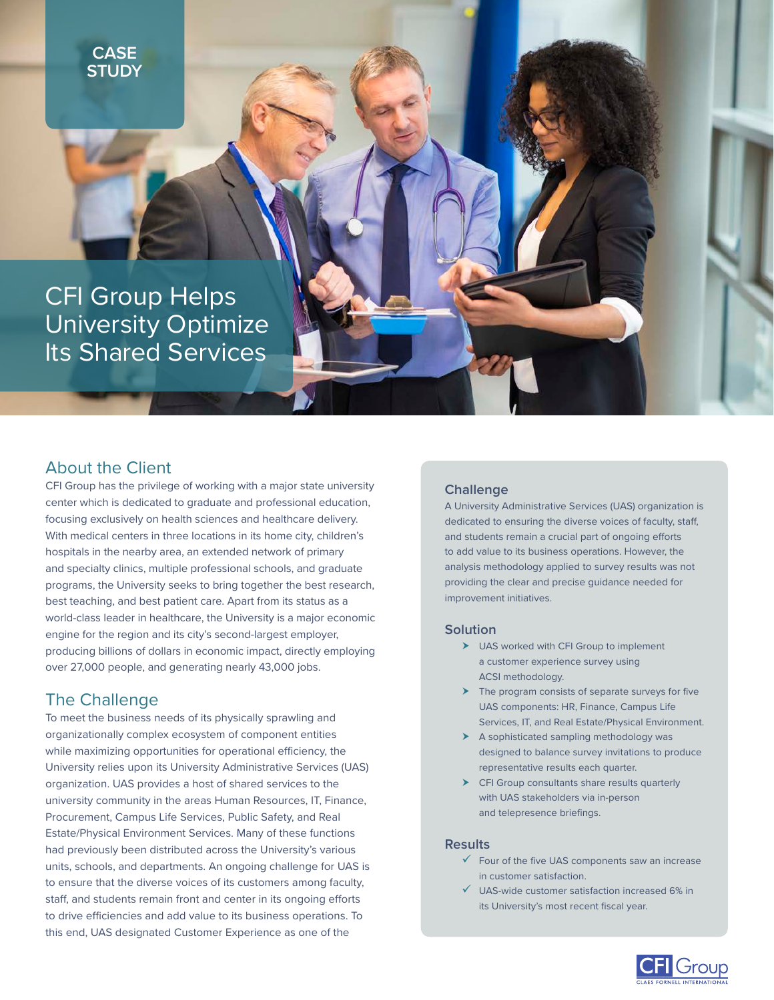**CASE STUDY**

CFI Group Helps University Optimize Its Shared Services

### About the Client

CFI Group has the privilege of working with a major state university center which is dedicated to graduate and professional education, focusing exclusively on health sciences and healthcare delivery. With medical centers in three locations in its home city, children's hospitals in the nearby area, an extended network of primary and specialty clinics, multiple professional schools, and graduate programs, the University seeks to bring together the best research, best teaching, and best patient care. Apart from its status as a world-class leader in healthcare, the University is a major economic engine for the region and its city's second-largest employer, producing billions of dollars in economic impact, directly employing over 27,000 people, and generating nearly 43,000 jobs.

# The Challenge

To meet the business needs of its physically sprawling and organizationally complex ecosystem of component entities while maximizing opportunities for operational efficiency, the University relies upon its University Administrative Services (UAS) organization. UAS provides a host of shared services to the university community in the areas Human Resources, IT, Finance, Procurement, Campus Life Services, Public Safety, and Real Estate/Physical Environment Services. Many of these functions had previously been distributed across the University's various units, schools, and departments. An ongoing challenge for UAS is to ensure that the diverse voices of its customers among faculty, staff, and students remain front and center in its ongoing efforts to drive efficiencies and add value to its business operations. To this end, UAS designated Customer Experience as one of the

### **Challenge**

A University Administrative Services (UAS) organization is dedicated to ensuring the diverse voices of faculty, staff, and students remain a crucial part of ongoing efforts to add value to its business operations. However, the analysis methodology applied to survey results was not providing the clear and precise guidance needed for improvement initiatives.

#### **Solution**

- > UAS worked with CFI Group to implement a customer experience survey using ACSI methodology.
- $\blacktriangleright$  The program consists of separate surveys for five UAS components: HR, Finance, Campus Life Services, IT, and Real Estate/Physical Environment.
- $\blacktriangleright$  A sophisticated sampling methodology was designed to balance survey invitations to produce representative results each quarter.
- $\blacktriangleright$  CFI Group consultants share results quarterly with UAS stakeholders via in-person and telepresence briefings.

#### **Results**

- $\checkmark$  Four of the five UAS components saw an increase in customer satisfaction.
- $\checkmark$  UAS-wide customer satisfaction increased 6% in its University's most recent fiscal year.